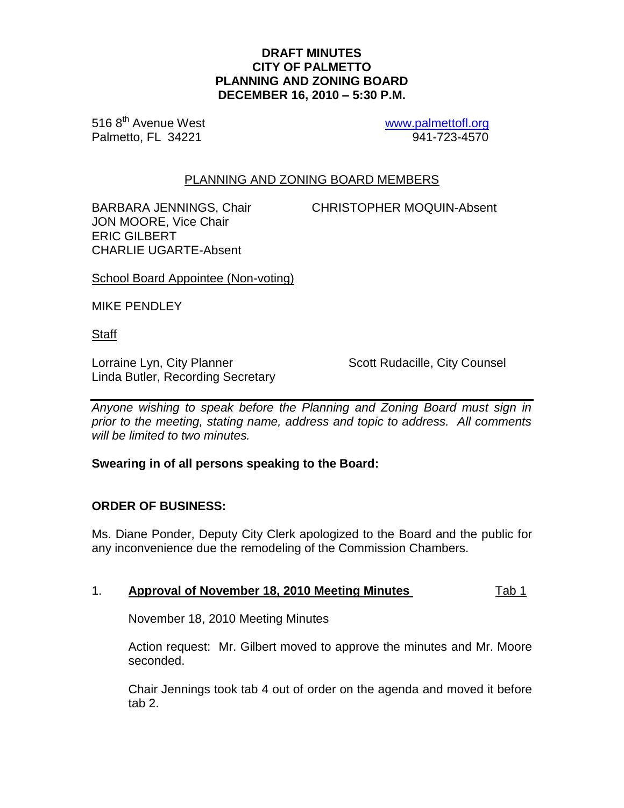### **DRAFT MINUTES CITY OF PALMETTO PLANNING AND ZONING BOARD DECEMBER 16, 2010 – 5:30 P.M.**

516 8<sup>th</sup> Avenue West **[www.palmettofl.org](http://www.palmettofl.org/)** Palmetto, FL 34221 941-723-4570

## PLANNING AND ZONING BOARD MEMBERS

JON MOORE, Vice Chair ERIC GILBERT CHARLIE UGARTE-Absent

BARBARA JENNINGS, Chair CHRISTOPHER MOQUIN-Absent

School Board Appointee (Non-voting)

MIKE PENDLEY

**Staff** 

Lorraine Lyn, City Planner **Scott Rudacille, City Counsel** Linda Butler, Recording Secretary

*Anyone wishing to speak before the Planning and Zoning Board must sign in prior to the meeting, stating name, address and topic to address. All comments will be limited to two minutes.*

#### **Swearing in of all persons speaking to the Board:**

## **ORDER OF BUSINESS:**

Ms. Diane Ponder, Deputy City Clerk apologized to the Board and the public for any inconvenience due the remodeling of the Commission Chambers.

## 1. **Approval of November 18, 2010 Meeting Minutes** Tab 1

November 18, 2010 Meeting Minutes

Action request: Mr. Gilbert moved to approve the minutes and Mr. Moore seconded.

Chair Jennings took tab 4 out of order on the agenda and moved it before tab 2.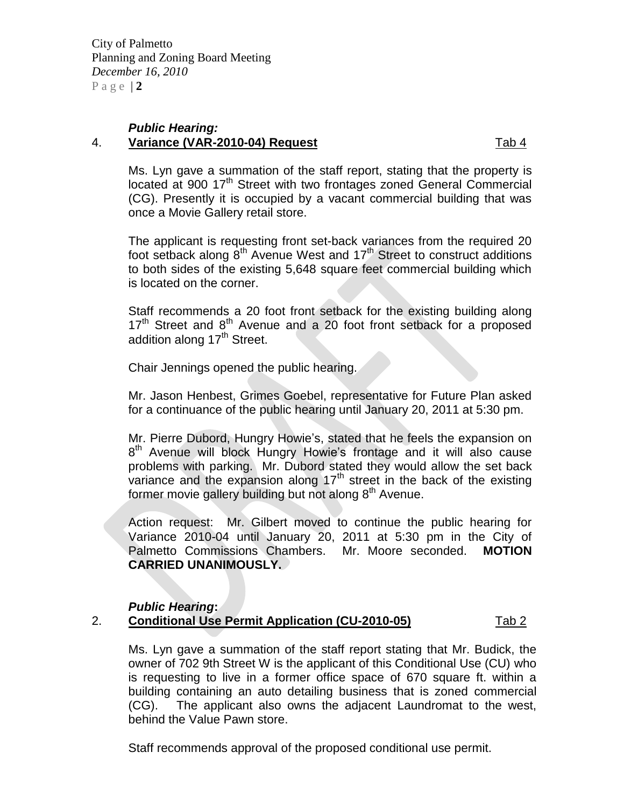City of Palmetto Planning and Zoning Board Meeting *December 16, 2010*  $P$  a g e  $|2$ 

#### *Public Hearing:* 4. **Variance (VAR-2010-04) Request** Tab 4

Ms. Lyn gave a summation of the staff report, stating that the property is located at 900 17<sup>th</sup> Street with two frontages zoned General Commercial (CG). Presently it is occupied by a vacant commercial building that was once a Movie Gallery retail store.

The applicant is requesting front set-back variances from the required 20 foot setback along  $8<sup>th</sup>$  Avenue West and 17<sup>th</sup> Street to construct additions to both sides of the existing 5,648 square feet commercial building which is located on the corner.

Staff recommends a 20 foot front setback for the existing building along  $17<sup>th</sup>$  Street and  $8<sup>th</sup>$  Avenue and a 20 foot front setback for a proposed addition along 17<sup>th</sup> Street.

Chair Jennings opened the public hearing.

Mr. Jason Henbest, Grimes Goebel, representative for Future Plan asked for a continuance of the public hearing until January 20, 2011 at 5:30 pm.

Mr. Pierre Dubord, Hungry Howie's, stated that he feels the expansion on 8<sup>th</sup> Avenue will block Hungry Howie's frontage and it will also cause problems with parking. Mr. Dubord stated they would allow the set back variance and the expansion along  $17<sup>th</sup>$  street in the back of the existing former movie gallery building but not along 8<sup>th</sup> Avenue.

Action request: Mr. Gilbert moved to continue the public hearing for Variance 2010-04 until January 20, 2011 at 5:30 pm in the City of Palmetto Commissions Chambers. Mr. Moore seconded. **MOTION CARRIED UNANIMOUSLY.**

# *Public Hearing***:**

# 2. **Conditional Use Permit Application (CU-2010-05)** Tab 2

Ms. Lyn gave a summation of the staff report stating that Mr. Budick, the owner of 702 9th Street W is the applicant of this Conditional Use (CU) who is requesting to live in a former office space of 670 square ft. within a building containing an auto detailing business that is zoned commercial (CG). The applicant also owns the adjacent Laundromat to the west, behind the Value Pawn store.

Staff recommends approval of the proposed conditional use permit.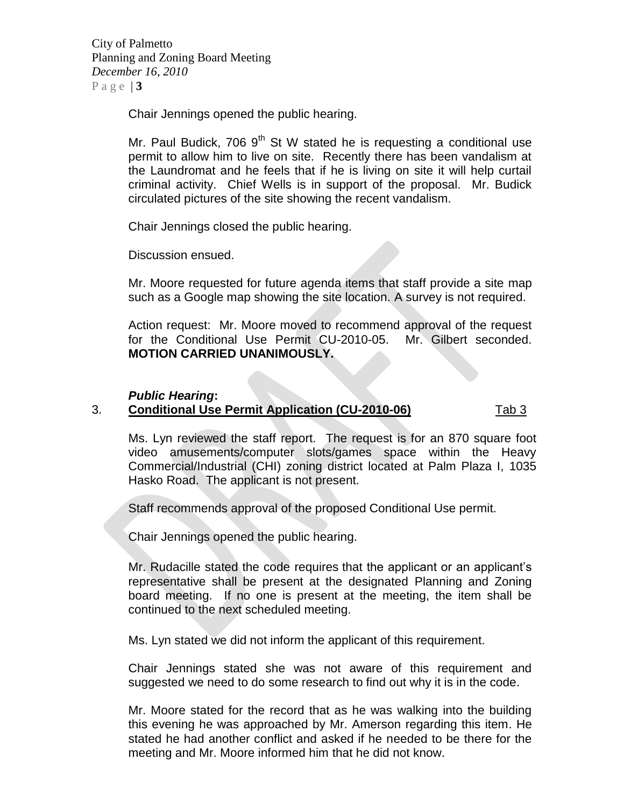City of Palmetto Planning and Zoning Board Meeting *December 16, 2010* Page  $|3|$ 

Chair Jennings opened the public hearing.

Mr. Paul Budick, 706  $9<sup>th</sup>$  St W stated he is requesting a conditional use permit to allow him to live on site. Recently there has been vandalism at the Laundromat and he feels that if he is living on site it will help curtail criminal activity. Chief Wells is in support of the proposal. Mr. Budick circulated pictures of the site showing the recent vandalism.

Chair Jennings closed the public hearing.

Discussion ensued.

Mr. Moore requested for future agenda items that staff provide a site map such as a Google map showing the site location. A survey is not required.

Action request: Mr. Moore moved to recommend approval of the request for the Conditional Use Permit CU-2010-05. Mr. Gilbert seconded. **MOTION CARRIED UNANIMOUSLY.**

#### *Public Hearing***:**

### 3. **Conditional Use Permit Application (CU-2010-06)** Tab 3

Ms. Lyn reviewed the staff report. The request is for an 870 square foot video amusements/computer slots/games space within the Heavy Commercial/Industrial (CHI) zoning district located at Palm Plaza I, 1035 Hasko Road. The applicant is not present.

Staff recommends approval of the proposed Conditional Use permit.

Chair Jennings opened the public hearing.

Mr. Rudacille stated the code requires that the applicant or an applicant's representative shall be present at the designated Planning and Zoning board meeting. If no one is present at the meeting, the item shall be continued to the next scheduled meeting.

Ms. Lyn stated we did not inform the applicant of this requirement.

Chair Jennings stated she was not aware of this requirement and suggested we need to do some research to find out why it is in the code.

Mr. Moore stated for the record that as he was walking into the building this evening he was approached by Mr. Amerson regarding this item. He stated he had another conflict and asked if he needed to be there for the meeting and Mr. Moore informed him that he did not know.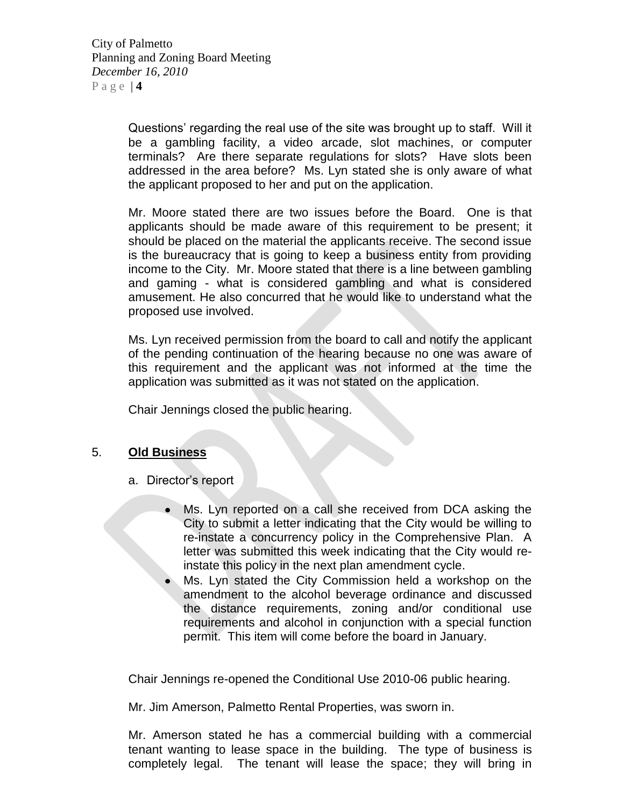City of Palmetto Planning and Zoning Board Meeting *December 16, 2010* P a g e | **4**

> Questions' regarding the real use of the site was brought up to staff. Will it be a gambling facility, a video arcade, slot machines, or computer terminals? Are there separate regulations for slots? Have slots been addressed in the area before? Ms. Lyn stated she is only aware of what the applicant proposed to her and put on the application.

> Mr. Moore stated there are two issues before the Board. One is that applicants should be made aware of this requirement to be present; it should be placed on the material the applicants receive. The second issue is the bureaucracy that is going to keep a business entity from providing income to the City. Mr. Moore stated that there is a line between gambling and gaming - what is considered gambling and what is considered amusement. He also concurred that he would like to understand what the proposed use involved.

> Ms. Lyn received permission from the board to call and notify the applicant of the pending continuation of the hearing because no one was aware of this requirement and the applicant was not informed at the time the application was submitted as it was not stated on the application.

Chair Jennings closed the public hearing.

# 5. **Old Business**

- a. Director's report
	- Ms. Lyn reported on a call she received from DCA asking the City to submit a letter indicating that the City would be willing to re-instate a concurrency policy in the Comprehensive Plan. A letter was submitted this week indicating that the City would reinstate this policy in the next plan amendment cycle.
	- Ms. Lyn stated the City Commission held a workshop on the amendment to the alcohol beverage ordinance and discussed the distance requirements, zoning and/or conditional use requirements and alcohol in conjunction with a special function permit. This item will come before the board in January.

Chair Jennings re-opened the Conditional Use 2010-06 public hearing.

Mr. Jim Amerson, Palmetto Rental Properties, was sworn in.

Mr. Amerson stated he has a commercial building with a commercial tenant wanting to lease space in the building. The type of business is completely legal. The tenant will lease the space; they will bring in